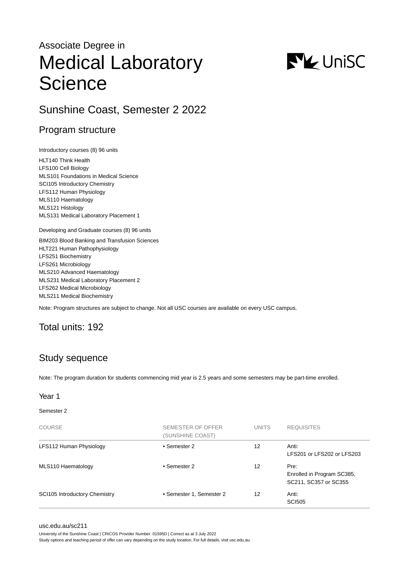# Associate Degree in Medical Laboratory **Science**



# Sunshine Coast, Semester 2 2022

## Program structure

Introductory courses (8) 96 units

HLT140 Think Health LFS100 Cell Biology MLS101 Foundations in Medical Science SCI105 Introductory Chemistry LFS112 Human Physiology MLS110 Haematology MLS121 Histology MLS131 Medical Laboratory Placement 1

Developing and Graduate courses (8) 96 units

BIM203 Blood Banking and Transfusion Sciences HLT221 Human Pathophysiology LFS251 Biochemistry LFS261 Microbiology MLS210 Advanced Haematology MLS231 Medical Laboratory Placement 2 LFS262 Medical Microbiology MLS211 Medical Biochemistry

Note: Program structures are subject to change. Not all USC courses are available on every USC campus.

### Total units: 192

# Study sequence

Note: The program duration for students commencing mid year is 2.5 years and some semesters may be part-time enrolled.

#### Year 1

Semester 2

| <b>COURSE</b>                        | SEMESTER OF OFFER<br>(SUNSHINE COAST) | <b>UNITS</b> | <b>REQUISITES</b>                                           |
|--------------------------------------|---------------------------------------|--------------|-------------------------------------------------------------|
| LFS112 Human Physiology              | • Semester 2                          | 12           | Anti:<br>LFS201 or LFS202 or LFS203                         |
| MLS110 Haematology                   | • Semester 2                          | 12           | Pre:<br>Enrolled in Program SC385,<br>SC211, SC357 or SC355 |
| <b>SCI105 Introductory Chemistry</b> | • Semester 1, Semester 2              | 12           | Anti:<br><b>SCI505</b>                                      |

[usc.edu.au/sc211](https://www.usc.edu.au/sc211)

University of the Sunshine Coast | CRICOS Provider Number: 01595D | Correct as at 3 July 2022

Study options and teaching period of offer can vary depending on the study location. For full details, visit usc.edu.au.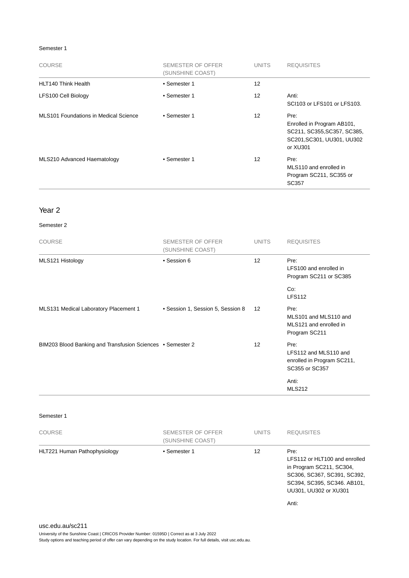#### Semester 1

| <b>COURSE</b>                         | SEMESTER OF OFFER<br>(SUNSHINE COAST) | <b>UNITS</b> | <b>REQUISITES</b>                                                                                           |
|---------------------------------------|---------------------------------------|--------------|-------------------------------------------------------------------------------------------------------------|
| <b>HLT140 Think Health</b>            | • Semester 1                          | 12           |                                                                                                             |
| LFS100 Cell Biology                   | • Semester 1                          | 12           | Anti:<br>SCI103 or LFS101 or LFS103.                                                                        |
| MLS101 Foundations in Medical Science | • Semester 1                          | 12           | Pre:<br>Enrolled in Program AB101,<br>SC211, SC355, SC357, SC385,<br>SC201, SC301, UU301, UU302<br>or XU301 |
| MLS210 Advanced Haematology           | • Semester 1                          | 12           | Pre:<br>MLS110 and enrolled in<br>Program SC211, SC355 or<br>SC357                                          |

#### Year 2

#### Semester 2

| <b>COURSE</b>                                              | SEMESTER OF OFFER<br>(SUNSHINE COAST) | <b>UNITS</b>      | <b>REQUISITES</b>                                                             |
|------------------------------------------------------------|---------------------------------------|-------------------|-------------------------------------------------------------------------------|
| MLS121 Histology                                           | • Session 6                           | 12 <sup>2</sup>   | Pre:<br>LFS100 and enrolled in<br>Program SC211 or SC385                      |
|                                                            |                                       |                   | Co:<br><b>LFS112</b>                                                          |
| MLS131 Medical Laboratory Placement 1                      | • Session 1, Session 5, Session 8     | $12 \overline{ }$ | Pre:<br>MLS101 and MLS110 and<br>MLS121 and enrolled in<br>Program SC211      |
| BIM203 Blood Banking and Transfusion Sciences • Semester 2 |                                       | 12                | Pre:<br>LFS112 and MLS110 and<br>enrolled in Program SC211,<br>SC355 or SC357 |
|                                                            |                                       |                   | Anti:<br><b>MLS212</b>                                                        |

#### Semester 1

| <b>COURSE</b>                | SEMESTER OF OFFER<br>(SUNSHINE COAST) | <b>UNITS</b> | <b>REQUISITES</b>                                                                                                                                                 |
|------------------------------|---------------------------------------|--------------|-------------------------------------------------------------------------------------------------------------------------------------------------------------------|
| HLT221 Human Pathophysiology | • Semester 1                          | 12           | Pre:<br>LFS112 or HLT100 and enrolled<br>in Program SC211, SC304,<br>SC306, SC367, SC391, SC392,<br>SC394, SC395, SC346. AB101,<br>UU301, UU302 or XU301<br>Anti: |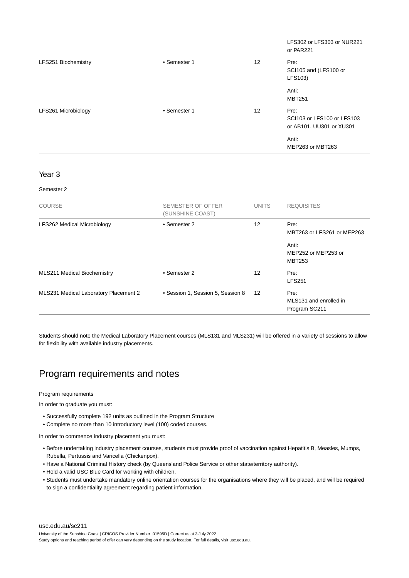|                     |              |                   | LFS302 or LFS303 or NUR221<br>or PAR221                        |
|---------------------|--------------|-------------------|----------------------------------------------------------------|
| LFS251 Biochemistry | • Semester 1 | $12 \overline{ }$ | Pre:<br>SCI105 and (LFS100 or<br>LFS103)                       |
|                     |              |                   | Anti:<br><b>MBT251</b>                                         |
| LFS261 Microbiology | • Semester 1 | $12 \overline{ }$ | Pre:<br>SCI103 or LFS100 or LFS103<br>or AB101, UU301 or XU301 |
|                     |              |                   | Anti:<br>MEP263 or MBT263                                      |

#### Year 3

#### Semester 2

| <b>COURSE</b>                         | SEMESTER OF OFFER<br>(SUNSHINE COAST) | <b>UNITS</b> | <b>REQUISITES</b>                               |
|---------------------------------------|---------------------------------------|--------------|-------------------------------------------------|
| LFS262 Medical Microbiology           | • Semester 2                          | 12           | Pre:<br>MBT263 or LFS261 or MEP263              |
|                                       |                                       |              | Anti:<br>MEP252 or MEP253 or<br><b>MBT253</b>   |
| <b>MLS211 Medical Biochemistry</b>    | • Semester 2                          | 12           | Pre:<br><b>LFS251</b>                           |
| MLS231 Medical Laboratory Placement 2 | • Session 1, Session 5, Session 8     | 12           | Pre:<br>MLS131 and enrolled in<br>Program SC211 |

Students should note the Medical Laboratory Placement courses (MLS131 and MLS231) will be offered in a variety of sessions to allow for flexibility with available industry placements.

# Program requirements and notes

#### Program requirements

In order to graduate you must:

- Successfully complete 192 units as outlined in the Program Structure
- Complete no more than 10 introductory level (100) coded courses.

In order to commence industry placement you must:

- Before undertaking industry placement courses, students must provide proof of vaccination against Hepatitis B, Measles, Mumps, Rubella, Pertussis and Varicella (Chickenpox).
- Have a National Criminal History check (by Queensland Police Service or other state/territory authority).
- Hold a valid USC Blue Card for working with children.
- Students must undertake mandatory online orientation courses for the organisations where they will be placed, and will be required to sign a confidentiality agreement regarding patient information.